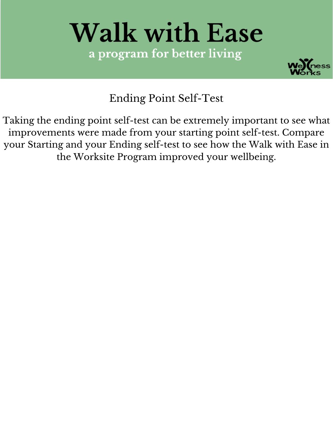# **Walk with Ease** a program for better living



Ending Point Self-Test

Taking the ending point self-test can be extremely important to see what improvements were made from your starting point self-test. Compare your Starting and your Ending self-test to see how the Walk with Ease in the Worksite Program improved your wellbeing.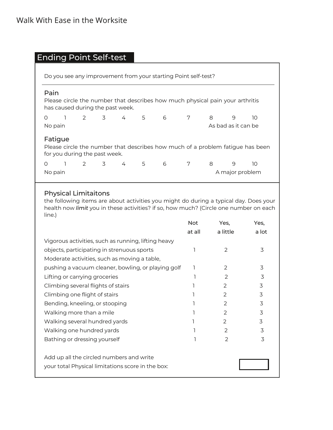|  |  | <b>Ending Point Self-test</b> |
|--|--|-------------------------------|
|--|--|-------------------------------|

| Do you see any improvement from your starting Point self-test?                                                             |  |                                                                    |  |     |   |   |                                     |                      |    |
|----------------------------------------------------------------------------------------------------------------------------|--|--------------------------------------------------------------------|--|-----|---|---|-------------------------------------|----------------------|----|
| Pain<br>Please circle the number that describes how much physical pain your arthritis<br>has caused during the past week.  |  |                                                                    |  |     |   |   |                                     |                      |    |
| $\Omega$<br>No pain                                                                                                        |  | $\begin{array}{ccccccccccccccccc}\n1 & 2 & 3 & 4 & 5\n\end{array}$ |  |     | 6 | 7 | 8<br>9<br>10<br>As bad as it can be |                      |    |
| Fatigue<br>Please circle the number that describes how much of a problem fatigue has been<br>for you during the past week. |  |                                                                    |  |     |   |   |                                     |                      |    |
| $\Omega$<br>No pain                                                                                                        |  | 2 3                                                                |  | 4 5 | 6 | 7 | 8                                   | 9<br>A major problem | 10 |

### Physical Limitaitons

the following items are about activities you might do during a typical day. Does your health now *limit* you in these activities? if so, how much? (Circle one number on each line.)

| <b>Not</b> | Yes,          | Yes,  |
|------------|---------------|-------|
| at all     | a little      | a lot |
|            |               |       |
| ٦          | 2             | 3     |
|            |               |       |
|            | 2             | 3     |
|            | $\mathcal{P}$ | 3     |
|            | $\mathcal{P}$ | 3     |
|            | 2             | 3     |
|            | $\mathcal{P}$ | 3     |
|            | 2             | 3     |
|            | 2             | 3     |
|            | $\mathcal{P}$ | 3     |
|            | 2             | 3     |
|            |               |       |
|            |               |       |
|            |               |       |
|            |               |       |